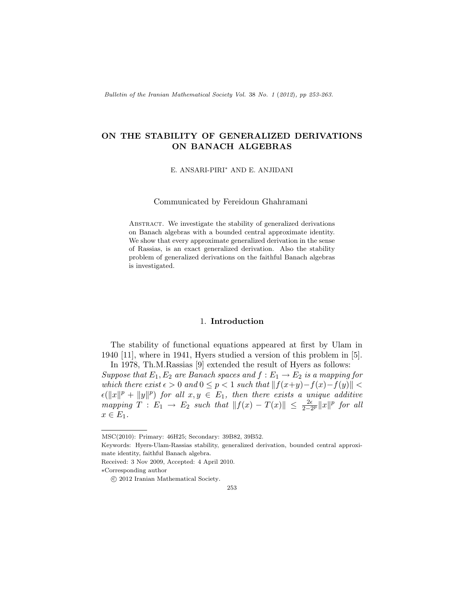Bulletin of the Iranian Mathematical Society Vol. 38 No. 1 (2012), pp 253-263.

# ON THE STABILITY OF GENERALIZED DERIVATIONS ON BANACH ALGEBRAS

E. ANSARI-PIRI<sup>∗</sup> AND E. ANJIDANI

Communicated by Fereidoun Ghahramani

Abstract. We investigate the stability of generalized derivations on Banach algebras with a bounded central approximate identity. We show that every approximate generalized derivation in the sense of Rassias, is an exact generalized derivation. Also the stability problem of generalized derivations on the faithful Banach algebras is investigated.

### 1. Introduction

The stability of functional equations appeared at first by Ulam in 1940 [\[11\]](#page-10-0), where in 1941, Hyers studied a version of this problem in [\[5\]](#page-10-1). In 1978, Th.M.Rassias [\[9\]](#page-10-2) extended the result of Hyers as follows:

Suppose that  $E_1, E_2$  are Banach spaces and  $f : E_1 \rightarrow E_2$  is a mapping for which there exist  $\epsilon > 0$  and  $0 \le p < 1$  such that  $||f(x+y)-f(x)-f(y)|| <$  $\epsilon(\|x\|^p + \|y\|^p)$  for all  $x, y \in E_1$ , then there exists a unique additive mapping  $T : E_1 \to E_2$  such that  $||f(x) - T(x)|| \le \frac{2\epsilon}{2-2^p} ||x||^p$  for all  $x \in E_1$ .

MSC(2010): Primary: 46H25; Secondary: 39B82, 39B52.

Keywords: Hyers-Ulam-Rassias stability, generalized derivation, bounded central approximate identity, faithful Banach algebra.

Received: 3 Nov 2009, Accepted: 4 April 2010.

<sup>∗</sup>Corresponding author

c 2012 Iranian Mathematical Society.

<sup>253</sup>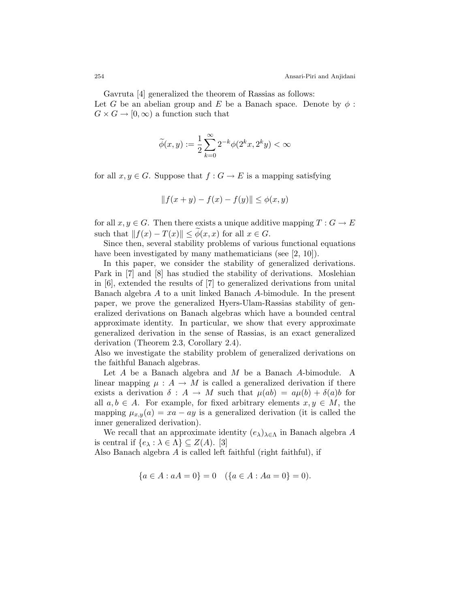Gavruta [\[4\]](#page-10-3) generalized the theorem of Rassias as follows: Let G be an abelian group and E be a Banach space. Denote by  $\phi$ :  $G \times G \rightarrow [0, \infty)$  a function such that

$$
\widetilde{\phi}(x,y):=\frac{1}{2}\sum_{k=0}^{\infty}2^{-k}\phi(2^kx,2^ky)<\infty
$$

for all  $x, y \in G$ . Suppose that  $f : G \to E$  is a mapping satisfying

$$
||f(x + y) - f(x) - f(y)|| \le \phi(x, y)
$$

for all  $x, y \in G$ . Then there exists a unique additive mapping  $T : G \to E$ such that  $||f(x) - T(x)|| \le \phi(x, x)$  for all  $x \in G$ .

Since then, several stability problems of various functional equations have been investigated by many mathematicians (see [\[2,](#page-10-4) [10\]](#page-10-5)).

In this paper, we consider the stability of generalized derivations. Park in [\[7\]](#page-10-6) and [\[8\]](#page-10-7) has studied the stability of derivations. Moslehian in [\[6\]](#page-10-8), extended the results of [\[7\]](#page-10-6) to generalized derivations from unital Banach algebra A to a unit linked Banach A-bimodule. In the present paper, we prove the generalized Hyers-Ulam-Rassias stability of generalized derivations on Banach algebras which have a bounded central approximate identity. In particular, we show that every approximate generalized derivation in the sense of Rassias, is an exact generalized derivation (Theorem [2.3,](#page-5-0) Corollary [2.4\)](#page-6-0).

Also we investigate the stability problem of generalized derivations on the faithful Banach algebras.

Let A be a Banach algebra and M be a Banach A-bimodule. A linear mapping  $\mu : A \to M$  is called a generalized derivation if there exists a derivation  $\delta : A \to M$  such that  $\mu(ab) = a\mu(b) + \delta(a)b$  for all  $a, b \in A$ . For example, for fixed arbitrary elements  $x, y \in M$ , the mapping  $\mu_{x,y}(a) = xa - ay$  is a generalized derivation (it is called the inner generalized derivation).

We recall that an approximate identity  $(e_{\lambda})_{\lambda \in \Lambda}$  in Banach algebra A is central if  $\{e_{\lambda} : \lambda \in \Lambda\} \subseteq Z(A)$ . [\[3\]](#page-10-9)

Also Banach algebra  $A$  is called left faithful (right faithful), if

$$
\{a \in A : aA = 0\} = 0 \quad (\{a \in A : Aa = 0\} = 0).
$$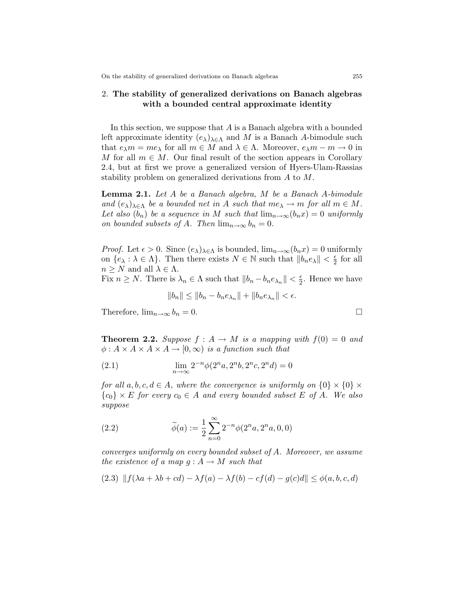## 2. The stability of generalized derivations on Banach algebras with a bounded central approximate identity

In this section, we suppose that  $A$  is a Banach algebra with a bounded left approximate identity  $(e_{\lambda})_{\lambda \in \Lambda}$  and M is a Banach A-bimodule such that  $e_\lambda m = me_\lambda$  for all  $m \in M$  and  $\lambda \in \Lambda$ . Moreover,  $e_\lambda m - m \to 0$  in M for all  $m \in M$ . Our final result of the section appears in Corollary [2.4,](#page-6-0) but at first we prove a generalized version of Hyers-Ulam-Rassias stability problem on generalized derivations from A to M.

<span id="page-2-1"></span>Lemma 2.1. Let A be a Banach algebra, M be a Banach A-bimodule and  $(e_{\lambda})_{\lambda \in \Lambda}$  be a bounded net in A such that  $me_{\lambda} \to m$  for all  $m \in M$ . Let also  $(b_n)$  be a sequence in M such that  $\lim_{n\to\infty}(b_nx)=0$  uniformly on bounded subsets of A. Then  $\lim_{n\to\infty} b_n = 0$ .

*Proof.* Let  $\epsilon > 0$ . Since  $(e_{\lambda})_{\lambda \in \Lambda}$  is bounded,  $\lim_{n \to \infty} (b_n x) = 0$  uniformly on  $\{e_{\lambda} : \lambda \in \Lambda\}$ . Then there exists  $N \in \mathbb{N}$  such that  $||b_n e_{\lambda}|| < \frac{\epsilon}{2}$  $rac{\epsilon}{2}$  for all  $n \geq N$  and all  $\lambda \in \Lambda$ .

Fix  $n \geq N$ . There is  $\lambda_n \in \Lambda$  such that  $||b_n - b_n e_{\lambda_n}|| < \frac{\epsilon}{2}$  $\frac{\epsilon}{2}$ . Hence we have

<span id="page-2-3"></span>
$$
||b_n|| \le ||b_n - b_n e_{\lambda_n}|| + ||b_n e_{\lambda_n}|| < \epsilon.
$$

Therefore,  $\lim_{n\to\infty} b_n = 0$ .

<span id="page-2-2"></span>**Theorem 2.2.** Suppose  $f : A \rightarrow M$  is a mapping with  $f(0) = 0$  and  $\phi: A \times A \times A \times A \rightarrow [0, \infty)$  is a function such that

(2.1) 
$$
\lim_{n \to \infty} 2^{-n} \phi(2^n a, 2^n b, 2^n c, 2^n d) = 0
$$

for all  $a, b, c, d \in A$ , where the convergence is uniformly on  $\{0\} \times \{0\} \times$  ${c_0} \times E$  for every  $c_0 \in A$  and every bounded subset E of A. We also suppose

<span id="page-2-4"></span>(2.2) 
$$
\widetilde{\phi}(a) := \frac{1}{2} \sum_{n=0}^{\infty} 2^{-n} \phi(2^n a, 2^n a, 0, 0)
$$

converges uniformly on every bounded subset of A. Moreover, we assume the existence of a map  $g : A \to M$  such that

<span id="page-2-0"></span>
$$
(2.3) \| f(\lambda a + \lambda b + cd) - \lambda f(a) - \lambda f(b) - cf(d) - g(c)d \| \le \phi(a, b, c, d)
$$

$$
\overline{}
$$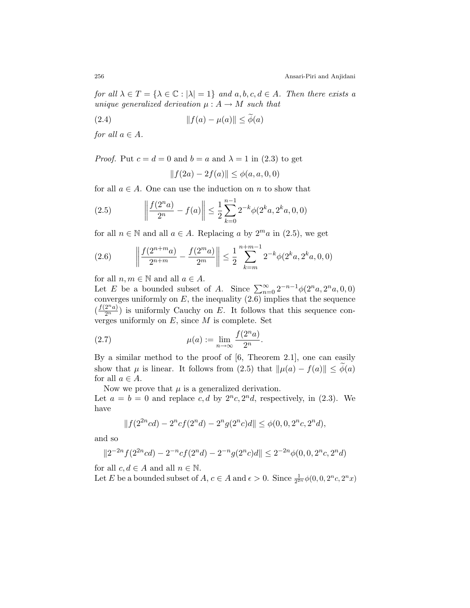for all  $\lambda \in T = {\lambda \in \mathbb{C} : |\lambda| = 1}$  and  $a, b, c, d \in A$ . Then there exists a unique generalized derivation  $\mu : A \rightarrow M$  such that

(2.4) 
$$
||f(a) - \mu(a)|| \le \phi(a)
$$

for all  $a \in A$ .

*Proof.* Put  $c = d = 0$  and  $b = a$  and  $\lambda = 1$  in [\(2.3\)](#page-2-0) to get

<span id="page-3-3"></span><span id="page-3-0"></span>
$$
||f(2a) - 2f(a)|| \le \phi(a, a, 0, 0)
$$

for all  $a \in A$ . One can use the induction on n to show that

(2.5) 
$$
\left\| \frac{f(2^n a)}{2^n} - f(a) \right\| \le \frac{1}{2} \sum_{k=0}^{n-1} 2^{-k} \phi(2^k a, 2^k a, 0, 0)
$$

for all  $n \in \mathbb{N}$  and all  $a \in A$ . Replacing a by  $2^m a$  in [\(2.5\)](#page-3-0), we get

<span id="page-3-1"></span>(2.6) 
$$
\left\| \frac{f(2^{n+m}a)}{2^{n+m}} - \frac{f(2^m a)}{2^m} \right\| \leq \frac{1}{2} \sum_{k=m}^{n+m-1} 2^{-k} \phi(2^k a, 2^k a, 0, 0)
$$

for all  $n, m \in \mathbb{N}$  and all  $a \in A$ .

Let E be a bounded subset of A. Since  $\sum_{n=0}^{\infty} 2^{-n-1} \phi(2^n a, 2^n a, 0, 0)$ converges uniformly on  $E$ , the inequality  $(2.6)$  implies that the sequence  $(\frac{f(2^n a)}{2^n})$  is uniformly Cauchy on E. It follows that this sequence converges uniformly on  $E$ , since  $M$  is complete. Set

<span id="page-3-2"></span>(2.7) 
$$
\mu(a) := \lim_{n \to \infty} \frac{f(2^n a)}{2^n}.
$$

By a similar method to the proof of [\[6,](#page-10-8) Theorem 2.1], one can easily show that  $\mu$  is linear. It follows from [\(2.5\)](#page-3-0) that  $\|\mu(a) - f(a)\| \leq \phi(a)$ for all  $a \in A$ .

Now we prove that  $\mu$  is a generalized derivation. Let  $a = b = 0$  and replace c, d by  $2^n c$ ,  $2^n d$ , respectively, in [\(2.3\)](#page-2-0). We have

$$
||f(2^{2n}cd) - 2^{n}cf(2^{n}d) - 2^{n}g(2^{n}c)d|| \leq \phi(0, 0, 2^{n}c, 2^{n}d),
$$

and so

$$
||2^{-2n}f(2^{2n}cd) - 2^{-n}cf(2^nd) - 2^{-n}g(2^nc)d|| \le 2^{-2n}\phi(0, 0, 2^nc, 2^nd)
$$

for all  $c, d \in A$  and all  $n \in \mathbb{N}$ .

Let E be a bounded subset of  $A, c \in A$  and  $\epsilon > 0$ . Since  $\frac{1}{2^{2n}}\phi(0, 0, 2^n c, 2^n x)$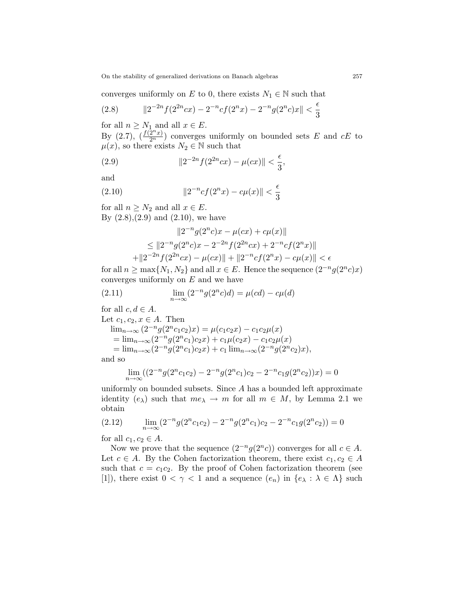On the stability of generalized derivations on Banach algebras 257

converges uniformly on E to 0, there exists  $N_1 \in \mathbb{N}$  such that

<span id="page-4-0"></span>(2.8) 
$$
\|2^{-2n}f(2^{2n}cx) - 2^{-n}cf(2^nx) - 2^{-n}g(2^nc)x\| < \frac{\epsilon}{3}
$$

for all  $n \geq N_1$  and all  $x \in E$ .

By  $(2.7)$ ,  $(\frac{f(2^n x)}{2^n})$  converges uniformly on bounded sets E and cE to  $\mu(x)$ , so there exists  $N_2 \in \mathbb{N}$  such that

<span id="page-4-1"></span>(2.9) 
$$
||2^{-2n}f(2^{2n}cx) - \mu(cx)|| < \frac{\epsilon}{3},
$$

and

(2.10) 
$$
||2^{-n}cf(2^nx) - c\mu(x)|| < \frac{\epsilon}{3}
$$

for all  $n \geq N_2$  and all  $x \in E$ . By  $(2.8), (2.9)$  $(2.8), (2.9)$  $(2.8), (2.9)$  and  $(2.10)$ , we have

<span id="page-4-2"></span>
$$
||2^{-n}g(2^{n}c)x - \mu(cx) + c\mu(x)||
$$
  
\n
$$
\leq ||2^{-n}g(2^{n}c)x - 2^{-2n}f(2^{2n}cx) + 2^{-n}cf(2^{n}x)||
$$
  
\n
$$
+ ||2^{-2n}f(2^{2n}cx) - \mu(cx)|| + ||2^{-n}cf(2^{n}x) - c\mu(x)|| < \epsilon
$$

for all  $n \ge \max\{N_1, N_2\}$  and all  $x \in E$ . Hence the sequence  $(2^{-n}g(2^n c)x)$ converges uniformly on  $E$  and we have

<span id="page-4-4"></span>(2.11) 
$$
\lim_{n \to \infty} (2^{-n}g(2^{n}c)d) = \mu(cd) - c\mu(d)
$$

for all  $c, d \in A$ .

Let  $c_1, c_2, x \in A$ . Then  $\lim_{n\to\infty} (2^{-n}g(2^nc_1c_2)x) = \mu(c_1c_2x) - c_1c_2\mu(x)$  $= \lim_{n \to \infty} (2^{-n}g(2^{n}c_1)c_2x) + c_1\mu(c_2x) - c_1c_2\mu(x)$ =  $\lim_{n\to\infty} (2^{-n}g(2^nc_1)c_2x) + c_1 \lim_{n\to\infty} (2^{-n}g(2^nc_2)x),$ and so

$$
\lim_{n \to \infty} ((2^{-n}g(2^{n}c_1c_2) - 2^{-n}g(2^{n}c_1)c_2 - 2^{-n}c_1g(2^{n}c_2))x) = 0
$$

uniformly on bounded subsets. Since A has a bounded left approximate identity  $(e_{\lambda})$  such that  $me_{\lambda} \to m$  for all  $m \in M$ , by Lemma [2.1](#page-2-1) we obtain

<span id="page-4-3"></span>
$$
(2.12) \qquad \lim_{n \to \infty} (2^{-n}g(2^{n}c_1c_2) - 2^{-n}g(2^{n}c_1)c_2 - 2^{-n}c_1g(2^{n}c_2)) = 0
$$

for all  $c_1, c_2 \in A$ .

Now we prove that the sequence  $(2^{-n}g(2^{n}c))$  converges for all  $c \in A$ . Let  $c \in A$ . By the Cohen factorization theorem, there exist  $c_1, c_2 \in A$ such that  $c = c_1 c_2$ . By the proof of Cohen factorization theorem (see [\[1\]](#page-10-10)), there exist  $0 < \gamma < 1$  and a sequence  $(e_n)$  in  $\{e_\lambda : \lambda \in \Lambda\}$  such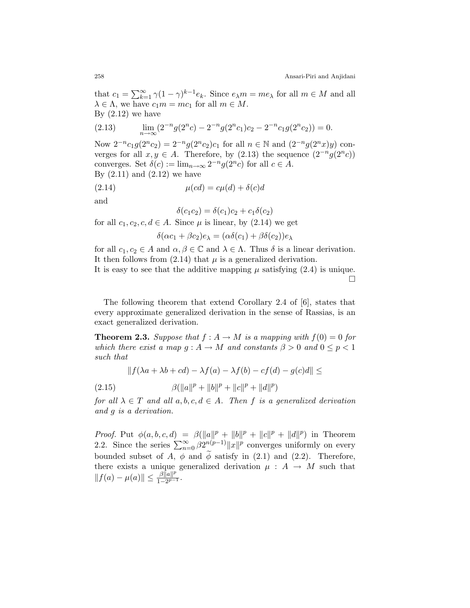that  $c_1 = \sum_{k=1}^{\infty} \gamma (1 - \gamma)^{k-1} e_k$ . Since  $e_{\lambda} m = m e_{\lambda}$  for all  $m \in M$  and all  $\lambda \in \Lambda$ , we have  $c_1m = mc_1$  for all  $m \in M$ . By  $(2.12)$  we have

<span id="page-5-1"></span>(2.13) 
$$
\lim_{n \to \infty} (2^{-n}g(2^{n}c) - 2^{-n}g(2^{n}c_1)c_2 - 2^{-n}c_1g(2^{n}c_2)) = 0.
$$

Now  $2^{-n}c_1g(2^nc_2) = 2^{-n}g(2^nc_2)c_1$  for all  $n \in \mathbb{N}$  and  $(2^{-n}g(2^nx)y)$  converges for all  $x, y \in A$ . Therefore, by [\(2.13\)](#page-5-1) the sequence  $(2^{-n}g(2^{n}c))$ converges. Set  $\delta(c) := \lim_{n \to \infty} 2^{-n} g(2^n c)$  for all  $c \in A$ . By  $(2.11)$  and  $(2.12)$  we have

(2.14) 
$$
\mu(cd) = c\mu(d) + \delta(c)d
$$

and

<span id="page-5-2"></span> $\delta(c_1c_2) = \delta(c_1)c_2 + c_1\delta(c_2)$ 

for all  $c_1, c_2, c, d \in A$ . Since  $\mu$  is linear, by [\(2.14\)](#page-5-2) we get

$$
\delta(\alpha c_1 + \beta c_2)e_\lambda = (\alpha \delta(c_1) + \beta \delta(c_2))e_\lambda
$$

for all  $c_1, c_2 \in A$  and  $\alpha, \beta \in \mathbb{C}$  and  $\lambda \in \Lambda$ . Thus  $\delta$  is a linear derivation. It then follows from  $(2.14)$  that  $\mu$  is a generalized derivation.

It is easy to see that the additive mapping  $\mu$  satisfying [\(2.4\)](#page-3-3) is unique.  $\Box$ 

The following theorem that extend Corollary 2.4 of [\[6\]](#page-10-8), states that every approximate generalized derivation in the sense of Rassias, is an exact generalized derivation.

<span id="page-5-0"></span>**Theorem 2.3.** Suppose that  $f : A \to M$  is a mapping with  $f(0) = 0$  for which there exist a map  $q : A \to M$  and constants  $\beta > 0$  and  $0 \leq p < 1$ such that

<span id="page-5-3"></span>
$$
|| f(\lambda a + \lambda b + cd) - \lambda f(a) - \lambda f(b) - cf(d) - g(c)d|| \le
$$

(2.15)  $\beta(\|a\|^p + \|b\|^p + \|c\|^p + \|d\|^p)$ 

for all  $\lambda \in T$  and all  $a, b, c, d \in A$ . Then f is a generalized derivation and g is a derivation.

*Proof.* Put  $\phi(a, b, c, d) = \beta(||a||^p + ||b||^p + ||c||^p + ||d||^p)$  in Theorem [2.2.](#page-2-2) Since the series  $\sum_{n=0}^{\infty} \beta 2^{n(p-1)} ||x||^p$  converges uniformly on every bounded subset of A,  $\phi$  and  $\phi$  satisfy in [\(2.1\)](#page-2-3) and [\(2.2\)](#page-2-4). Therefore, there exists a unique generalized derivation  $\mu : A \rightarrow M$  such that  $||f(a) - \mu(a)|| \leq \frac{\beta ||a||^p}{1 - 2p - 1}$  $\frac{\rho ||a||^p}{1-2^{p-1}}$ .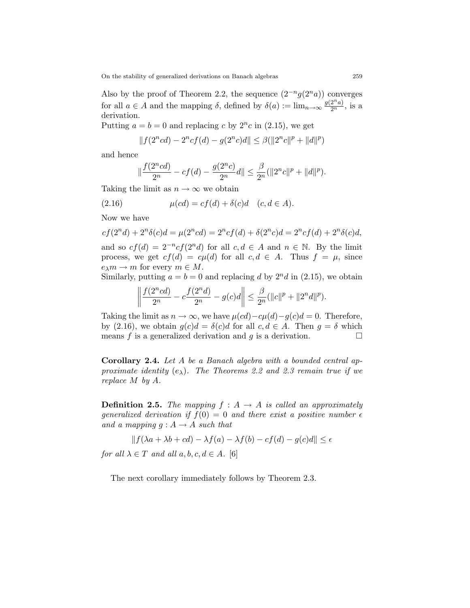On the stability of generalized derivations on Banach algebras 259

Also by the proof of Theorem [2.2,](#page-2-2) the sequence  $(2^{-n}g(2^n a))$  converges for all  $a \in A$  and the mapping  $\delta$ , defined by  $\delta(a) := \lim_{n \to \infty} \frac{g(2^n a)}{2^n}$ , is a derivation.

Putting  $a = b = 0$  and replacing c by  $2^n c$  in [\(2.15\)](#page-5-3), we get

$$
||f(2ncd) – 2ncf(d) – g(2nc)d|| \leq \beta(||2nc||p + ||d||p)
$$

and hence

<span id="page-6-1"></span>
$$
\|\frac{f(2^ncd)}{2^n}-cf(d)-\frac{g(2^nc)}{2^n}d\|\leq \frac{\beta}{2^n}(\|2^nc\|^p+\|d\|^p).
$$

Taking the limit as  $n \to \infty$  we obtain

(2.16) 
$$
\mu(cd) = cf(d) + \delta(c)d \quad (c, d \in A).
$$

Now we have

$$
cf(2nd) + 2n \delta(c)d = \mu(2ncd) = 2n cf(d) + \delta(2n c)d = 2n cf(d) + 2n \delta(c)d,
$$

and so  $cf(d) = 2^{-n}cf(2^nd)$  for all  $c, d \in A$  and  $n \in \mathbb{N}$ . By the limit process, we get  $cf(d) = c\mu(d)$  for all  $c, d \in A$ . Thus  $f = \mu$ , since  $e_\lambda m \to m$  for every  $m \in M$ .

Similarly, putting  $a = b = 0$  and replacing d by  $2<sup>n</sup>d$  in [\(2.15\)](#page-5-3), we obtain

$$
\left\|\frac{f(2^n c d)}{2^n} - c \frac{f(2^n d)}{2^n} - g(c)d\right\| \le \frac{\beta}{2^n} (\|c\|^p + \|2^n d\|^p).
$$

Taking the limit as  $n \to \infty$ , we have  $\mu(cd)-c\mu(d)-g(c)d=0$ . Therefore, by [\(2.16\)](#page-6-1), we obtain  $q(c)d = \delta(c)d$  for all  $c, d \in A$ . Then  $q = \delta$  which means f is a generalized derivation and g is a derivation.  $\Box$ 

<span id="page-6-0"></span>Corollary 2.4. Let A be a Banach algebra with a bounded central approximate identity  $(e_{\lambda})$ . The Theorems [2.2](#page-2-2) and [2.3](#page-5-0) remain true if we replace M by A.

**Definition 2.5.** The mapping  $f : A \rightarrow A$  is called an approximately generalized derivation if  $f(0) = 0$  and there exist a positive number  $\epsilon$ and a mapping  $g : A \rightarrow A$  such that

$$
||f(\lambda a + \lambda b + cd) - \lambda f(a) - \lambda f(b) - cf(d) - g(c)d|| \le \epsilon
$$

for all  $\lambda \in T$  and all  $a, b, c, d \in A$ . [\[6\]](#page-10-8)

<span id="page-6-2"></span>The next corollary immediately follows by Theorem [2.3.](#page-5-0)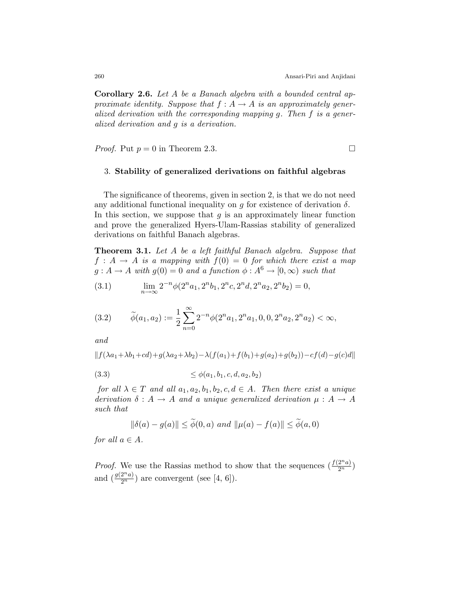Corollary 2.6. Let A be a Banach algebra with a bounded central approximate identity. Suppose that  $f : A \rightarrow A$  is an approximately generalized derivation with the corresponding mapping g. Then f is a generalized derivation and g is a derivation.

*Proof.* Put  $p = 0$  in Theorem [2.3.](#page-5-0)

#### 3. Stability of generalized derivations on faithful algebras

The significance of theorems, given in section 2, is that we do not need any additional functional inequality on g for existence of derivation  $\delta$ . In this section, we suppose that  $g$  is an approximately linear function and prove the generalized Hyers-Ulam-Rassias stability of generalized derivations on faithful Banach algebras.

<span id="page-7-2"></span>Theorem 3.1. Let A be a left faithful Banach algebra. Suppose that  $f : A \rightarrow A$  is a mapping with  $f(0) = 0$  for which there exist a map  $g: A \to A$  with  $g(0) = 0$  and a function  $\phi: A^6 \to [0, \infty)$  such that

(3.1) 
$$
\lim_{n \to \infty} 2^{-n} \phi(2^n a_1, 2^n b_1, 2^n c, 2^n d, 2^n a_2, 2^n b_2) = 0,
$$

<span id="page-7-1"></span>
$$
(3.2) \qquad \widetilde{\phi}(a_1, a_2) := \frac{1}{2} \sum_{n=0}^{\infty} 2^{-n} \phi(2^n a_1, 2^n a_1, 0, 0, 2^n a_2, 2^n a_2) < \infty,
$$

and

$$
|| f(\lambda a_1 + \lambda b_1 + cd) + g(\lambda a_2 + \lambda b_2) - \lambda (f(a_1) + f(b_1) + g(a_2) + g(b_2)) - cf(d) - g(c)d||
$$

(3.3) ≤ φ(a1, b1, c, d, a2, b2)

for all  $\lambda \in T$  and all  $a_1, a_2, b_1, b_2, c, d \in A$ . Then there exist a unique derivation  $\delta: A \to A$  and a unique generalized derivation  $\mu: A \to A$ such that

<span id="page-7-0"></span>
$$
\|\delta(a) - g(a)\| \le \phi(0, a) \text{ and } \|\mu(a) - f(a)\| \le \phi(a, 0)
$$

for all  $a \in A$ .

*Proof.* We use the Rassias method to show that the sequences  $(\frac{f(2^n a)}{2^n})$ and  $\left(\frac{g(2^n a)}{2^n}\right)$  are convergent (see [\[4,](#page-10-3) [6\]](#page-10-8)).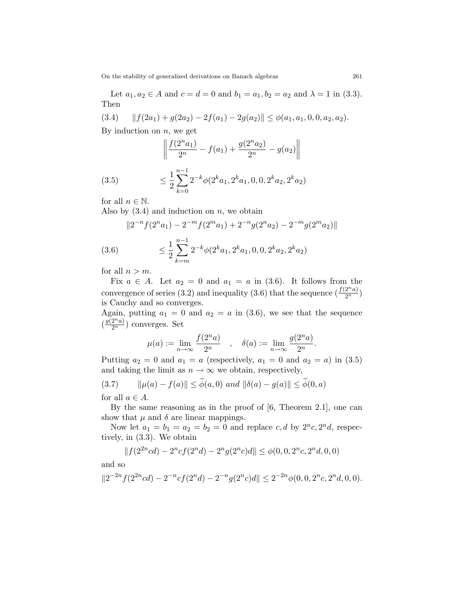On the stability of generalized derivations on Banach algebras 261

Let  $a_1, a_2 \in A$  and  $c = d = 0$  and  $b_1 = a_1, b_2 = a_2$  and  $\lambda = 1$  in [\(3.3\)](#page-7-0). Then

$$
(3.4) \t||f(2a_1) + g(2a_2) - 2f(a_1) - 2g(a_2)|| \leq \phi(a_1, a_1, 0, 0, a_2, a_2).
$$

By induction on  $n$ , we get

<span id="page-8-2"></span><span id="page-8-0"></span>
$$
\left\| \frac{f(2^n a_1)}{2^n} - f(a_1) + \frac{g(2^n a_2)}{2^n} - g(a_2) \right\|
$$

(3.5) 
$$
\leq \frac{1}{2} \sum_{k=0}^{n-1} 2^{-k} \phi(2^k a_1, 2^k a_1, 0, 0, 2^k a_2, 2^k a_2)
$$

for all  $n \in \mathbb{N}$ .

Also by  $(3.4)$  and induction on n, we obtain

<span id="page-8-1"></span>
$$
||2^{-n}f(2^{n}a_1) - 2^{-m}f(2^{m}a_1) + 2^{-n}g(2^{n}a_2) - 2^{-m}g(2^{m}a_2)||
$$

(3.6) 
$$
\leq \frac{1}{2} \sum_{k=m}^{n-1} 2^{-k} \phi(2^k a_1, 2^k a_1, 0, 0, 2^k a_2, 2^k a_2)
$$

for all  $n > m$ .

Fix  $a \in A$ . Let  $a_2 = 0$  and  $a_1 = a$  in [\(3.6\)](#page-8-1). It follows from the convergence of series [\(3.2\)](#page-7-1) and inequality [\(3.6\)](#page-8-1) that the sequence  $(\frac{f(2^n a)}{2^n})$ is Cauchy and so converges.

Again, putting  $a_1 = 0$  and  $a_2 = a$  in [\(3.6\)](#page-8-1), we see that the sequence  $\left(\frac{g(2^n a)}{2^n}\right)$  converges. Set

$$
\mu(a) := \lim_{n \to \infty} \frac{f(2^n a)}{2^n} \quad , \quad \delta(a) := \lim_{n \to \infty} \frac{g(2^n a)}{2^n}.
$$

Putting  $a_2 = 0$  and  $a_1 = a$  (respectively,  $a_1 = 0$  and  $a_2 = a$ ) in [\(3.5\)](#page-8-2) and taking the limit as  $n\to\infty$  we obtain, respectively,

<span id="page-8-3"></span>
$$
(3.7) \qquad \|\mu(a) - f(a)\| \le \phi(a, 0) \text{ and } \|\delta(a) - g(a)\| \le \phi(0, a)
$$

for all  $a \in A$ .

By the same reasoning as in the proof of [\[6,](#page-10-8) Theorem 2.1], one can show that  $\mu$  and  $\delta$  are linear mappings.

Now let  $a_1 = b_1 = a_2 = b_2 = 0$  and replace  $c, d$  by  $2^n c, 2^n d$ , respectively, in [\(3.3\)](#page-7-0). We obtain

$$
||f(2^{2n}cd)-2^ncf(2^nd)-2^ng(2^nc)d||\leq \phi(0,0,2^nc,2^nd,0,0)
$$

and so

$$
||2^{-2n}f(2^{2n}cd) - 2^{-n}cf(2^nd) - 2^{-n}g(2^nc)d|| \le 2^{-2n}\phi(0, 0, 2^nc, 2^nd, 0, 0).
$$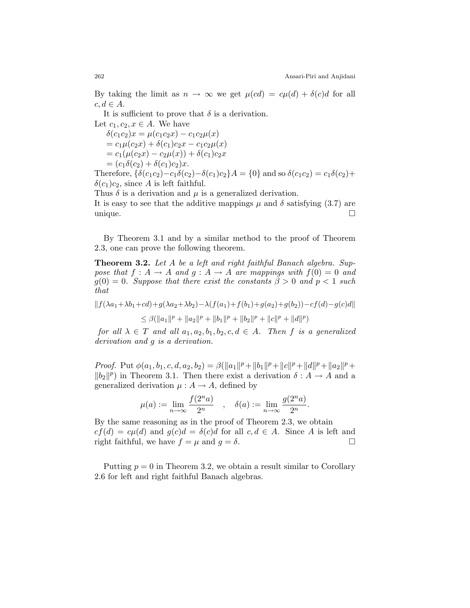By taking the limit as  $n \to \infty$  we get  $\mu(cd) = c\mu(d) + \delta(c)d$  for all  $c, d \in A$ .

It is sufficient to prove that  $\delta$  is a derivation.

Let  $c_1, c_2, x \in A$ . We have  $\delta(c_1c_2)x = \mu(c_1c_2x) - c_1c_2\mu(x)$  $= c_1\mu(c_2x) + \delta(c_1)c_2x - c_1c_2\mu(x)$  $= c_1(\mu(c_2x) - c_2\mu(x)) + \delta(c_1)c_2x$  $=(c_1\delta(c_2)+\delta(c_1)c_2)x.$ Therefore,  $\{\delta(c_1c_2)-c_1\delta(c_2)-\delta(c_1)c_2\}A = \{0\}$  and so  $\delta(c_1c_2) = c_1\delta(c_2)+\delta(c_2)$  $\delta(c_1)c_2$ , since A is left faithful.

Thus  $\delta$  is a derivation and  $\mu$  is a generalized derivation.

It is easy to see that the additive mappings  $\mu$  and  $\delta$  satisfying [\(3.7\)](#page-8-3) are unique.

By Theorem [3.1](#page-7-2) and by a similar method to the proof of Theorem [2.3,](#page-5-0) one can prove the following theorem.

<span id="page-9-0"></span>Theorem 3.2. Let A be a left and right faithful Banach algebra. Suppose that  $f : A \to A$  and  $g : A \to A$  are mappings with  $f(0) = 0$  and  $g(0) = 0$ . Suppose that there exist the constants  $\beta > 0$  and  $p < 1$  such that

 $|| f(\lambda a_1 + \lambda b_1 + cd) + g(\lambda a_2 + \lambda b_2) - \lambda (f(a_1) + f(b_1) + g(a_2) + g(b_2)) - cf(d) - g(c)d||$  $\leq \beta(||a_1||^p + ||a_2||^p + ||b_1||^p + ||b_2||^p + ||c||^p + ||d||^p)$ 

for all  $\lambda \in T$  and all  $a_1, a_2, b_1, b_2, c, d \in A$ . Then f is a generalized derivation and g is a derivation.

Proof. Put  $\phi(a_1, b_1, c, d, a_2, b_2) = \beta(||a_1||^p + ||b_1||^p + ||c||^p + ||d||^p + ||a_2||^p +$  $||b_2||^p$  in Theorem [3.1.](#page-7-2) Then there exist a derivation  $\delta : A \to A$  and a generalized derivation  $\mu : A \to A$ , defined by

$$
\mu(a) := \lim_{n \to \infty} \frac{f(2^n a)}{2^n} \quad , \quad \delta(a) := \lim_{n \to \infty} \frac{g(2^n a)}{2^n}.
$$

By the same reasoning as in the proof of Theorem [2.3,](#page-5-0) we obtain  $cf(d) = c\mu(d)$  and  $g(c)d = \delta(c)d$  for all  $c, d \in A$ . Since A is left and right faithful, we have  $f = \mu$  and  $q = \delta$ .

Putting  $p = 0$  in Theorem [3.2,](#page-9-0) we obtain a result similar to Corollary [2.6](#page-6-2) for left and right faithful Banach algebras.